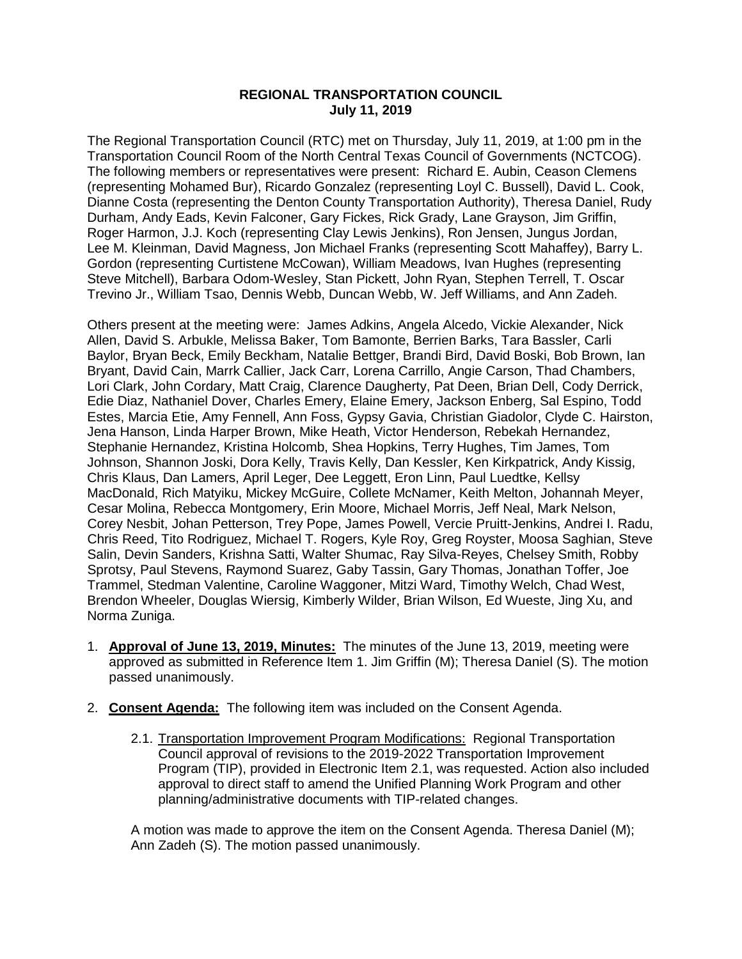## **REGIONAL TRANSPORTATION COUNCIL July 11, 2019**

The Regional Transportation Council (RTC) met on Thursday, July 11, 2019, at 1:00 pm in the Transportation Council Room of the North Central Texas Council of Governments (NCTCOG). The following members or representatives were present: Richard E. Aubin, Ceason Clemens (representing Mohamed Bur), Ricardo Gonzalez (representing Loyl C. Bussell), David L. Cook, Dianne Costa (representing the Denton County Transportation Authority), Theresa Daniel, Rudy Durham, Andy Eads, Kevin Falconer, Gary Fickes, Rick Grady, Lane Grayson, Jim Griffin, Roger Harmon, J.J. Koch (representing Clay Lewis Jenkins), Ron Jensen, Jungus Jordan, Lee M. Kleinman, David Magness, Jon Michael Franks (representing Scott Mahaffey), Barry L. Gordon (representing Curtistene McCowan), William Meadows, Ivan Hughes (representing Steve Mitchell), Barbara Odom-Wesley, Stan Pickett, John Ryan, Stephen Terrell, T. Oscar Trevino Jr., William Tsao, Dennis Webb, Duncan Webb, W. Jeff Williams, and Ann Zadeh.

Others present at the meeting were: James Adkins, Angela Alcedo, Vickie Alexander, Nick Allen, David S. Arbukle, Melissa Baker, Tom Bamonte, Berrien Barks, Tara Bassler, Carli Baylor, Bryan Beck, Emily Beckham, Natalie Bettger, Brandi Bird, David Boski, Bob Brown, Ian Bryant, David Cain, Marrk Callier, Jack Carr, Lorena Carrillo, Angie Carson, Thad Chambers, Lori Clark, John Cordary, Matt Craig, Clarence Daugherty, Pat Deen, Brian Dell, Cody Derrick, Edie Diaz, Nathaniel Dover, Charles Emery, Elaine Emery, Jackson Enberg, Sal Espino, Todd Estes, Marcia Etie, Amy Fennell, Ann Foss, Gypsy Gavia, Christian Giadolor, Clyde C. Hairston, Jena Hanson, Linda Harper Brown, Mike Heath, Victor Henderson, Rebekah Hernandez, Stephanie Hernandez, Kristina Holcomb, Shea Hopkins, Terry Hughes, Tim James, Tom Johnson, Shannon Joski, Dora Kelly, Travis Kelly, Dan Kessler, Ken Kirkpatrick, Andy Kissig, Chris Klaus, Dan Lamers, April Leger, Dee Leggett, Eron Linn, Paul Luedtke, Kellsy MacDonald, Rich Matyiku, Mickey McGuire, Collete McNamer, Keith Melton, Johannah Meyer, Cesar Molina, Rebecca Montgomery, Erin Moore, Michael Morris, Jeff Neal, Mark Nelson, Corey Nesbit, Johan Petterson, Trey Pope, James Powell, Vercie Pruitt-Jenkins, Andrei I. Radu, Chris Reed, Tito Rodriguez, Michael T. Rogers, Kyle Roy, Greg Royster, Moosa Saghian, Steve Salin, Devin Sanders, Krishna Satti, Walter Shumac, Ray Silva-Reyes, Chelsey Smith, Robby Sprotsy, Paul Stevens, Raymond Suarez, Gaby Tassin, Gary Thomas, Jonathan Toffer, Joe Trammel, Stedman Valentine, Caroline Waggoner, Mitzi Ward, Timothy Welch, Chad West, Brendon Wheeler, Douglas Wiersig, Kimberly Wilder, Brian Wilson, Ed Wueste, Jing Xu, and Norma Zuniga.

- 1. **Approval of June 13, 2019, Minutes:** The minutes of the June 13, 2019, meeting were approved as submitted in Reference Item 1. Jim Griffin (M); Theresa Daniel (S). The motion passed unanimously.
- 2. **Consent Agenda:** The following item was included on the Consent Agenda.
	- 2.1. Transportation Improvement Program Modifications: Regional Transportation Council approval of revisions to the 2019-2022 Transportation Improvement Program (TIP), provided in Electronic Item 2.1, was requested. Action also included approval to direct staff to amend the Unified Planning Work Program and other planning/administrative documents with TIP-related changes.

A motion was made to approve the item on the Consent Agenda. Theresa Daniel (M); Ann Zadeh (S). The motion passed unanimously.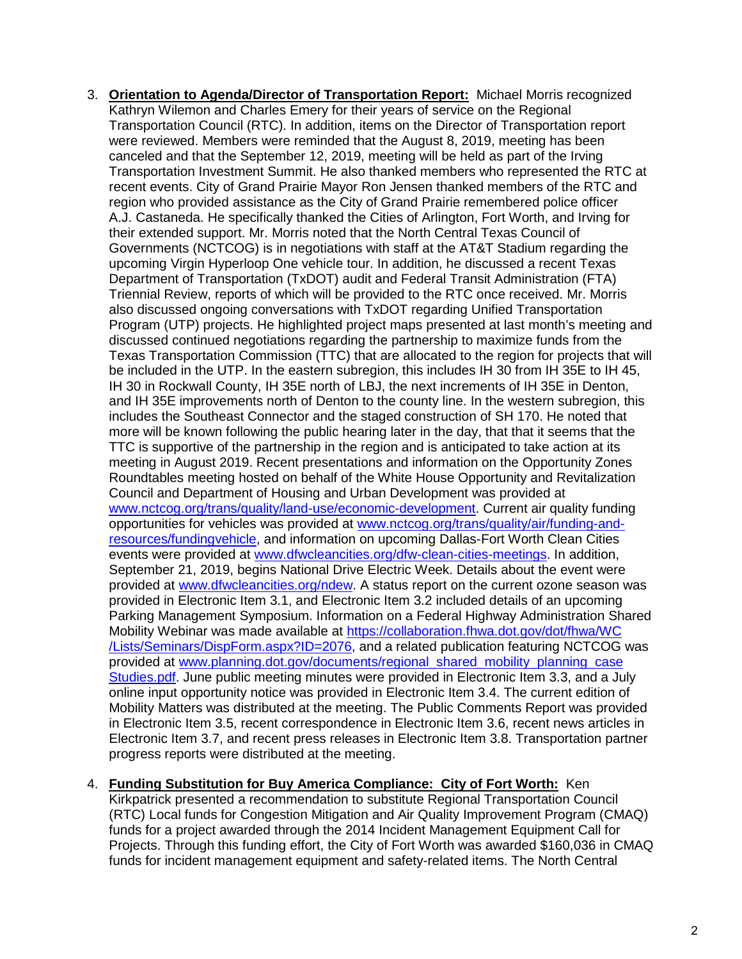- 3. **Orientation to Agenda/Director of Transportation Report:** Michael Morris recognized Kathryn Wilemon and Charles Emery for their years of service on the Regional Transportation Council (RTC). In addition, items on the Director of Transportation report were reviewed. Members were reminded that the August 8, 2019, meeting has been canceled and that the September 12, 2019, meeting will be held as part of the Irving Transportation Investment Summit. He also thanked members who represented the RTC at recent events. City of Grand Prairie Mayor Ron Jensen thanked members of the RTC and region who provided assistance as the City of Grand Prairie remembered police officer A.J. Castaneda. He specifically thanked the Cities of Arlington, Fort Worth, and Irving for their extended support. Mr. Morris noted that the North Central Texas Council of Governments (NCTCOG) is in negotiations with staff at the AT&T Stadium regarding the upcoming Virgin Hyperloop One vehicle tour. In addition, he discussed a recent Texas Department of Transportation (TxDOT) audit and Federal Transit Administration (FTA) Triennial Review, reports of which will be provided to the RTC once received. Mr. Morris also discussed ongoing conversations with TxDOT regarding Unified Transportation Program (UTP) projects. He highlighted project maps presented at last month's meeting and discussed continued negotiations regarding the partnership to maximize funds from the Texas Transportation Commission (TTC) that are allocated to the region for projects that will be included in the UTP. In the eastern subregion, this includes IH 30 from IH 35E to IH 45, IH 30 in Rockwall County, IH 35E north of LBJ, the next increments of IH 35E in Denton, and IH 35E improvements north of Denton to the county line. In the western subregion, this includes the Southeast Connector and the staged construction of SH 170. He noted that more will be known following the public hearing later in the day, that that it seems that the TTC is supportive of the partnership in the region and is anticipated to take action at its meeting in August 2019. Recent presentations and information on the Opportunity Zones Roundtables meeting hosted on behalf of the White House Opportunity and Revitalization Council and Department of Housing and Urban Development was provided at [www.nctcog.org/trans/quality/land-use/economic-development.](http://www.nctcog.org/trans/quality/land-use/economic-development) Current air quality funding opportunities for vehicles was provided at [www.nctcog.org/trans/quality/air/funding-and](http://www.nctcog.org/trans/quality/air/funding-and-resources/fundingvehicle)[resources/fundingvehicle,](http://www.nctcog.org/trans/quality/air/funding-and-resources/fundingvehicle) and information on upcoming Dallas-Fort Worth Clean Cities events were provided at [www.dfwcleancities.org/dfw-clean-cities-meetings.](http://www.dfwcleancities.org/dfw-clean-cities-meetings) In addition, September 21, 2019, begins National Drive Electric Week. Details about the event were provided at [www.dfwcleancities.org/ndew.](http://www.dfwcleancities.org/ndew) A status report on the current ozone season was provided in Electronic Item 3.1, and Electronic Item 3.2 included details of an upcoming Parking Management Symposium. Information on a Federal Highway Administration Shared Mobility Webinar was made available at [https://collaboration.fhwa.dot.gov/dot/fhwa/WC](https://collaboration.fhwa.dot.gov/dot/fhwa/WC/Lists/Seminars/DispForm.aspx?ID=2076) [/Lists/Seminars/DispForm.aspx?ID=2076,](https://collaboration.fhwa.dot.gov/dot/fhwa/WC/Lists/Seminars/DispForm.aspx?ID=2076) and a related publication featuring NCTCOG was provided at [www.planning.dot.gov/documents/regional\\_shared\\_mobility\\_planning\\_case](http://www.planning.dot.gov/documents/regional_shared_mobility_planning_caseStudies.pdf) [Studies.pdf.](http://www.planning.dot.gov/documents/regional_shared_mobility_planning_caseStudies.pdf) June public meeting minutes were provided in Electronic Item 3.3, and a July online input opportunity notice was provided in Electronic Item 3.4. The current edition of Mobility Matters was distributed at the meeting. The Public Comments Report was provided in Electronic Item 3.5, recent correspondence in Electronic Item 3.6, recent news articles in Electronic Item 3.7, and recent press releases in Electronic Item 3.8. Transportation partner progress reports were distributed at the meeting.
- 4. **Funding Substitution for Buy America Compliance: City of Fort Worth:** Ken

Kirkpatrick presented a recommendation to substitute Regional Transportation Council (RTC) Local funds for Congestion Mitigation and Air Quality Improvement Program (CMAQ) funds for a project awarded through the 2014 Incident Management Equipment Call for Projects. Through this funding effort, the City of Fort Worth was awarded \$160,036 in CMAQ funds for incident management equipment and safety-related items. The North Central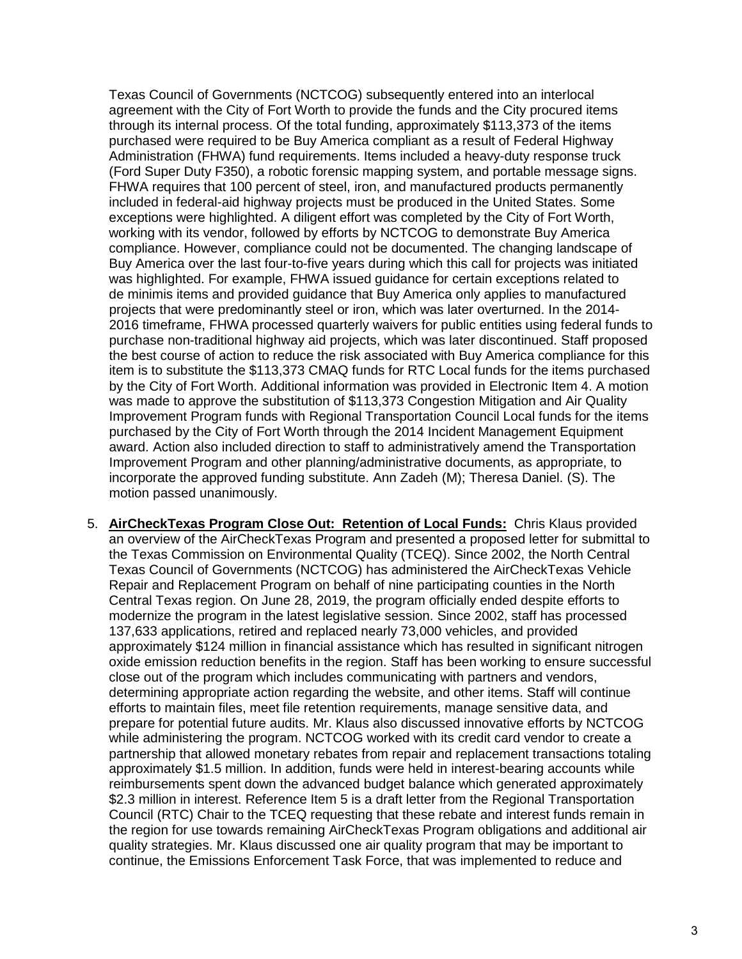Texas Council of Governments (NCTCOG) subsequently entered into an interlocal agreement with the City of Fort Worth to provide the funds and the City procured items through its internal process. Of the total funding, approximately \$113,373 of the items purchased were required to be Buy America compliant as a result of Federal Highway Administration (FHWA) fund requirements. Items included a heavy-duty response truck (Ford Super Duty F350), a robotic forensic mapping system, and portable message signs. FHWA requires that 100 percent of steel, iron, and manufactured products permanently included in federal-aid highway projects must be produced in the United States. Some exceptions were highlighted. A diligent effort was completed by the City of Fort Worth, working with its vendor, followed by efforts by NCTCOG to demonstrate Buy America compliance. However, compliance could not be documented. The changing landscape of Buy America over the last four-to-five years during which this call for projects was initiated was highlighted. For example, FHWA issued guidance for certain exceptions related to de minimis items and provided guidance that Buy America only applies to manufactured projects that were predominantly steel or iron, which was later overturned. In the 2014- 2016 timeframe, FHWA processed quarterly waivers for public entities using federal funds to purchase non-traditional highway aid projects, which was later discontinued. Staff proposed the best course of action to reduce the risk associated with Buy America compliance for this item is to substitute the \$113,373 CMAQ funds for RTC Local funds for the items purchased by the City of Fort Worth. Additional information was provided in Electronic Item 4. A motion was made to approve the substitution of \$113,373 Congestion Mitigation and Air Quality Improvement Program funds with Regional Transportation Council Local funds for the items purchased by the City of Fort Worth through the 2014 Incident Management Equipment award. Action also included direction to staff to administratively amend the Transportation Improvement Program and other planning/administrative documents, as appropriate, to incorporate the approved funding substitute. Ann Zadeh (M); Theresa Daniel. (S). The motion passed unanimously.

5. **AirCheckTexas Program Close Out: Retention of Local Funds:** Chris Klaus provided an overview of the AirCheckTexas Program and presented a proposed letter for submittal to the Texas Commission on Environmental Quality (TCEQ). Since 2002, the North Central Texas Council of Governments (NCTCOG) has administered the AirCheckTexas Vehicle Repair and Replacement Program on behalf of nine participating counties in the North Central Texas region. On June 28, 2019, the program officially ended despite efforts to modernize the program in the latest legislative session. Since 2002, staff has processed 137,633 applications, retired and replaced nearly 73,000 vehicles, and provided approximately \$124 million in financial assistance which has resulted in significant nitrogen oxide emission reduction benefits in the region. Staff has been working to ensure successful close out of the program which includes communicating with partners and vendors, determining appropriate action regarding the website, and other items. Staff will continue efforts to maintain files, meet file retention requirements, manage sensitive data, and prepare for potential future audits. Mr. Klaus also discussed innovative efforts by NCTCOG while administering the program. NCTCOG worked with its credit card vendor to create a partnership that allowed monetary rebates from repair and replacement transactions totaling approximately \$1.5 million. In addition, funds were held in interest-bearing accounts while reimbursements spent down the advanced budget balance which generated approximately \$2.3 million in interest. Reference Item 5 is a draft letter from the Regional Transportation Council (RTC) Chair to the TCEQ requesting that these rebate and interest funds remain in the region for use towards remaining AirCheckTexas Program obligations and additional air quality strategies. Mr. Klaus discussed one air quality program that may be important to continue, the Emissions Enforcement Task Force, that was implemented to reduce and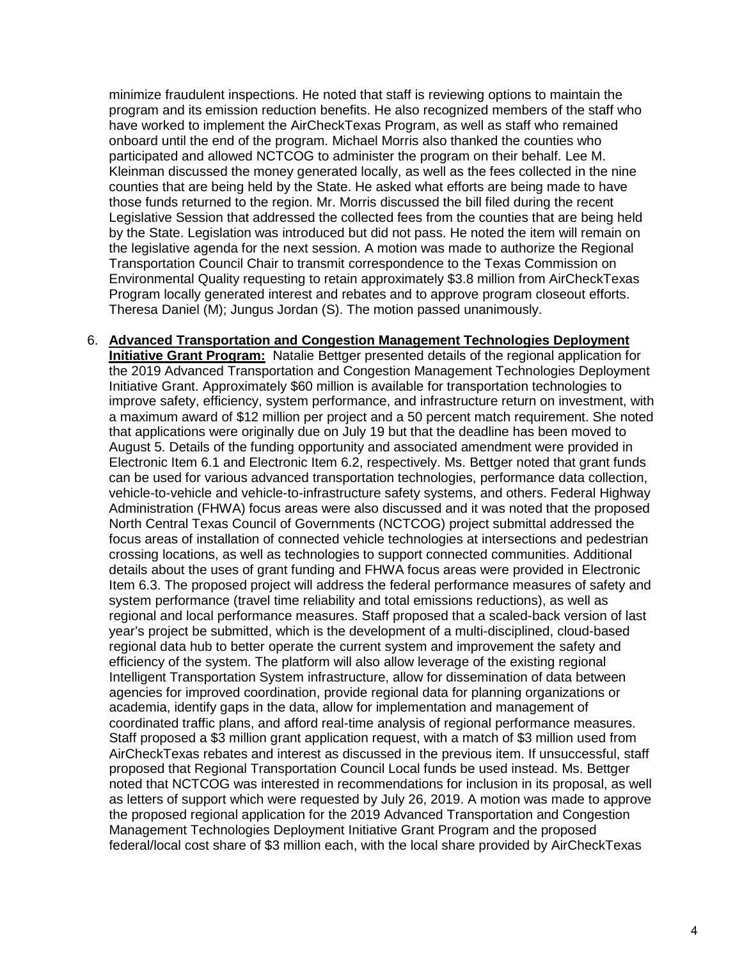minimize fraudulent inspections. He noted that staff is reviewing options to maintain the program and its emission reduction benefits. He also recognized members of the staff who have worked to implement the AirCheckTexas Program, as well as staff who remained onboard until the end of the program. Michael Morris also thanked the counties who participated and allowed NCTCOG to administer the program on their behalf. Lee M. Kleinman discussed the money generated locally, as well as the fees collected in the nine counties that are being held by the State. He asked what efforts are being made to have those funds returned to the region. Mr. Morris discussed the bill filed during the recent Legislative Session that addressed the collected fees from the counties that are being held by the State. Legislation was introduced but did not pass. He noted the item will remain on the legislative agenda for the next session. A motion was made to authorize the Regional Transportation Council Chair to transmit correspondence to the Texas Commission on Environmental Quality requesting to retain approximately \$3.8 million from AirCheckTexas Program locally generated interest and rebates and to approve program closeout efforts. Theresa Daniel (M); Jungus Jordan (S). The motion passed unanimously.

6. **Advanced Transportation and Congestion Management Technologies Deployment Initiative Grant Program:** Natalie Bettger presented details of the regional application for the 2019 Advanced Transportation and Congestion Management Technologies Deployment Initiative Grant. Approximately \$60 million is available for transportation technologies to improve safety, efficiency, system performance, and infrastructure return on investment, with a maximum award of \$12 million per project and a 50 percent match requirement. She noted that applications were originally due on July 19 but that the deadline has been moved to August 5. Details of the funding opportunity and associated amendment were provided in Electronic Item 6.1 and Electronic Item 6.2, respectively. Ms. Bettger noted that grant funds can be used for various advanced transportation technologies, performance data collection, vehicle-to-vehicle and vehicle-to-infrastructure safety systems, and others. Federal Highway Administration (FHWA) focus areas were also discussed and it was noted that the proposed North Central Texas Council of Governments (NCTCOG) project submittal addressed the focus areas of installation of connected vehicle technologies at intersections and pedestrian crossing locations, as well as technologies to support connected communities. Additional details about the uses of grant funding and FHWA focus areas were provided in Electronic Item 6.3. The proposed project will address the federal performance measures of safety and system performance (travel time reliability and total emissions reductions), as well as regional and local performance measures. Staff proposed that a scaled-back version of last year's project be submitted, which is the development of a multi-disciplined, cloud-based regional data hub to better operate the current system and improvement the safety and efficiency of the system. The platform will also allow leverage of the existing regional Intelligent Transportation System infrastructure, allow for dissemination of data between agencies for improved coordination, provide regional data for planning organizations or academia, identify gaps in the data, allow for implementation and management of coordinated traffic plans, and afford real-time analysis of regional performance measures. Staff proposed a \$3 million grant application request, with a match of \$3 million used from AirCheckTexas rebates and interest as discussed in the previous item. If unsuccessful, staff proposed that Regional Transportation Council Local funds be used instead. Ms. Bettger noted that NCTCOG was interested in recommendations for inclusion in its proposal, as well as letters of support which were requested by July 26, 2019. A motion was made to approve the proposed regional application for the 2019 Advanced Transportation and Congestion Management Technologies Deployment Initiative Grant Program and the proposed federal/local cost share of \$3 million each, with the local share provided by AirCheckTexas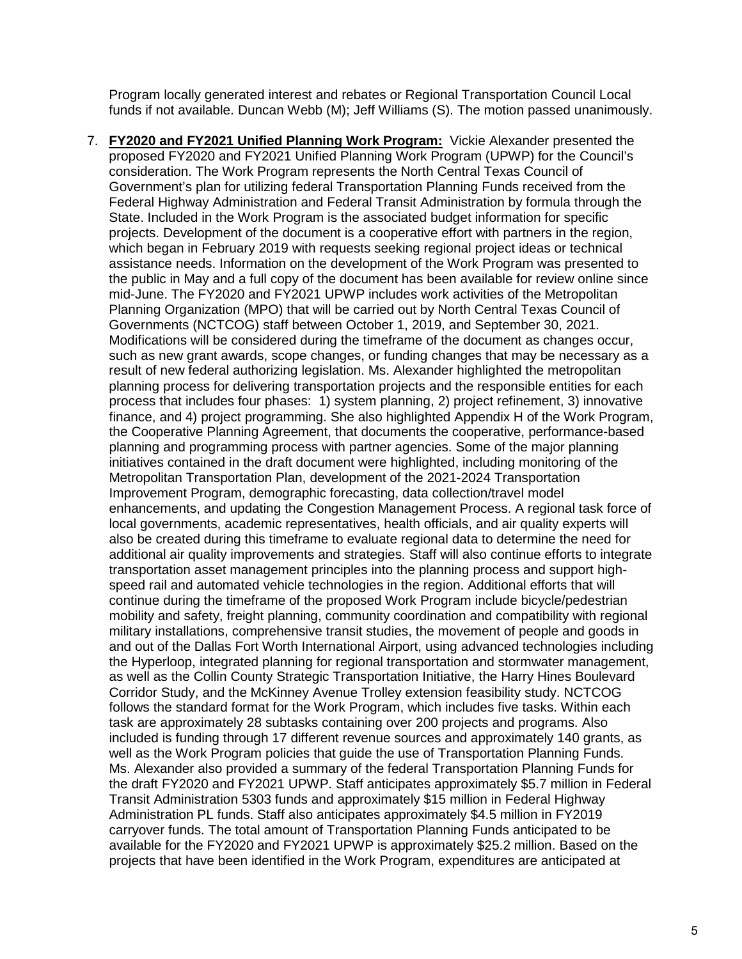Program locally generated interest and rebates or Regional Transportation Council Local funds if not available. Duncan Webb (M); Jeff Williams (S). The motion passed unanimously.

7. **FY2020 and FY2021 Unified Planning Work Program:** Vickie Alexander presented the proposed FY2020 and FY2021 Unified Planning Work Program (UPWP) for the Council's consideration. The Work Program represents the North Central Texas Council of Government's plan for utilizing federal Transportation Planning Funds received from the Federal Highway Administration and Federal Transit Administration by formula through the State. Included in the Work Program is the associated budget information for specific projects. Development of the document is a cooperative effort with partners in the region, which began in February 2019 with requests seeking regional project ideas or technical assistance needs. Information on the development of the Work Program was presented to the public in May and a full copy of the document has been available for review online since mid-June. The FY2020 and FY2021 UPWP includes work activities of the Metropolitan Planning Organization (MPO) that will be carried out by North Central Texas Council of Governments (NCTCOG) staff between October 1, 2019, and September 30, 2021. Modifications will be considered during the timeframe of the document as changes occur, such as new grant awards, scope changes, or funding changes that may be necessary as a result of new federal authorizing legislation. Ms. Alexander highlighted the metropolitan planning process for delivering transportation projects and the responsible entities for each process that includes four phases: 1) system planning, 2) project refinement, 3) innovative finance, and 4) project programming. She also highlighted Appendix H of the Work Program, the Cooperative Planning Agreement, that documents the cooperative, performance-based planning and programming process with partner agencies. Some of the major planning initiatives contained in the draft document were highlighted, including monitoring of the Metropolitan Transportation Plan, development of the 2021-2024 Transportation Improvement Program, demographic forecasting, data collection/travel model enhancements, and updating the Congestion Management Process. A regional task force of local governments, academic representatives, health officials, and air quality experts will also be created during this timeframe to evaluate regional data to determine the need for additional air quality improvements and strategies. Staff will also continue efforts to integrate transportation asset management principles into the planning process and support highspeed rail and automated vehicle technologies in the region. Additional efforts that will continue during the timeframe of the proposed Work Program include bicycle/pedestrian mobility and safety, freight planning, community coordination and compatibility with regional military installations, comprehensive transit studies, the movement of people and goods in and out of the Dallas Fort Worth International Airport, using advanced technologies including the Hyperloop, integrated planning for regional transportation and stormwater management, as well as the Collin County Strategic Transportation Initiative, the Harry Hines Boulevard Corridor Study, and the McKinney Avenue Trolley extension feasibility study. NCTCOG follows the standard format for the Work Program, which includes five tasks. Within each task are approximately 28 subtasks containing over 200 projects and programs. Also included is funding through 17 different revenue sources and approximately 140 grants, as well as the Work Program policies that guide the use of Transportation Planning Funds. Ms. Alexander also provided a summary of the federal Transportation Planning Funds for the draft FY2020 and FY2021 UPWP. Staff anticipates approximately \$5.7 million in Federal Transit Administration 5303 funds and approximately \$15 million in Federal Highway Administration PL funds. Staff also anticipates approximately \$4.5 million in FY2019 carryover funds. The total amount of Transportation Planning Funds anticipated to be available for the FY2020 and FY2021 UPWP is approximately \$25.2 million. Based on the projects that have been identified in the Work Program, expenditures are anticipated at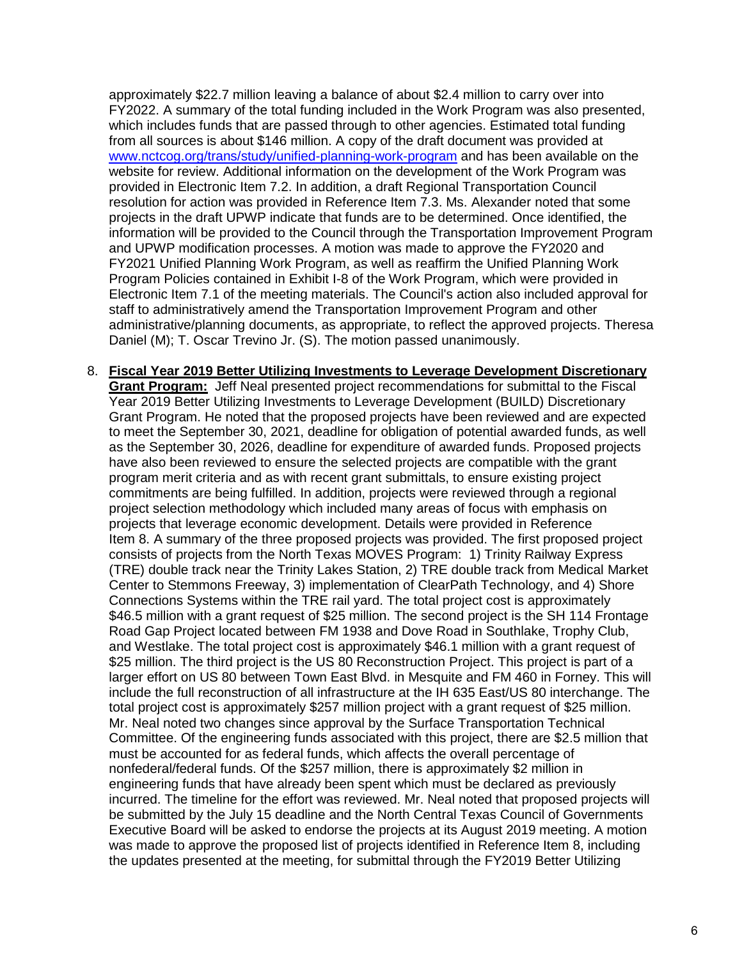approximately \$22.7 million leaving a balance of about \$2.4 million to carry over into FY2022. A summary of the total funding included in the Work Program was also presented, which includes funds that are passed through to other agencies. Estimated total funding from all sources is about \$146 million. A copy of the draft document was provided at [www.nctcog.org/trans/study/unified-planning-work-program](http://www.nctcog.org/trans/study/unified-planning-work-program) and has been available on the website for review. Additional information on the development of the Work Program was provided in Electronic Item 7.2. In addition, a draft Regional Transportation Council resolution for action was provided in Reference Item 7.3. Ms. Alexander noted that some projects in the draft UPWP indicate that funds are to be determined. Once identified, the information will be provided to the Council through the Transportation Improvement Program and UPWP modification processes. A motion was made to approve the FY2020 and FY2021 Unified Planning Work Program, as well as reaffirm the Unified Planning Work Program Policies contained in Exhibit I-8 of the Work Program, which were provided in Electronic Item 7.1 of the meeting materials. The Council's action also included approval for staff to administratively amend the Transportation Improvement Program and other administrative/planning documents, as appropriate, to reflect the approved projects. Theresa Daniel (M); T. Oscar Trevino Jr. (S). The motion passed unanimously.

8. **Fiscal Year 2019 Better Utilizing Investments to Leverage Development Discretionary Grant Program:** Jeff Neal presented project recommendations for submittal to the Fiscal Year 2019 Better Utilizing Investments to Leverage Development (BUILD) Discretionary Grant Program. He noted that the proposed projects have been reviewed and are expected to meet the September 30, 2021, deadline for obligation of potential awarded funds, as well as the September 30, 2026, deadline for expenditure of awarded funds. Proposed projects have also been reviewed to ensure the selected projects are compatible with the grant program merit criteria and as with recent grant submittals, to ensure existing project commitments are being fulfilled. In addition, projects were reviewed through a regional project selection methodology which included many areas of focus with emphasis on projects that leverage economic development. Details were provided in Reference Item 8. A summary of the three proposed projects was provided. The first proposed project consists of projects from the North Texas MOVES Program: 1) Trinity Railway Express (TRE) double track near the Trinity Lakes Station, 2) TRE double track from Medical Market Center to Stemmons Freeway, 3) implementation of ClearPath Technology, and 4) Shore Connections Systems within the TRE rail yard. The total project cost is approximately \$46.5 million with a grant request of \$25 million. The second project is the SH 114 Frontage Road Gap Project located between FM 1938 and Dove Road in Southlake, Trophy Club, and Westlake. The total project cost is approximately \$46.1 million with a grant request of \$25 million. The third project is the US 80 Reconstruction Project. This project is part of a larger effort on US 80 between Town East Blvd. in Mesquite and FM 460 in Forney. This will include the full reconstruction of all infrastructure at the IH 635 East/US 80 interchange. The total project cost is approximately \$257 million project with a grant request of \$25 million. Mr. Neal noted two changes since approval by the Surface Transportation Technical Committee. Of the engineering funds associated with this project, there are \$2.5 million that must be accounted for as federal funds, which affects the overall percentage of nonfederal/federal funds. Of the \$257 million, there is approximately \$2 million in engineering funds that have already been spent which must be declared as previously incurred. The timeline for the effort was reviewed. Mr. Neal noted that proposed projects will be submitted by the July 15 deadline and the North Central Texas Council of Governments Executive Board will be asked to endorse the projects at its August 2019 meeting. A motion was made to approve the proposed list of projects identified in Reference Item 8, including the updates presented at the meeting, for submittal through the FY2019 Better Utilizing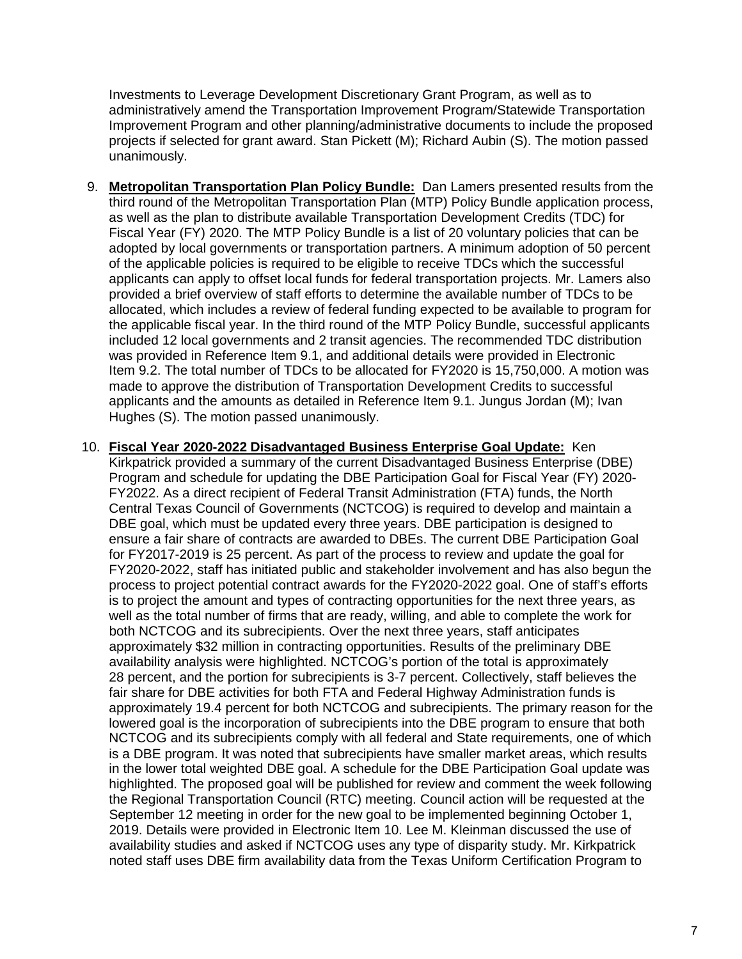Investments to Leverage Development Discretionary Grant Program, as well as to administratively amend the Transportation Improvement Program/Statewide Transportation Improvement Program and other planning/administrative documents to include the proposed projects if selected for grant award. Stan Pickett (M); Richard Aubin (S). The motion passed unanimously.

- 9. **Metropolitan Transportation Plan Policy Bundle:** Dan Lamers presented results from the third round of the Metropolitan Transportation Plan (MTP) Policy Bundle application process, as well as the plan to distribute available Transportation Development Credits (TDC) for Fiscal Year (FY) 2020. The MTP Policy Bundle is a list of 20 voluntary policies that can be adopted by local governments or transportation partners. A minimum adoption of 50 percent of the applicable policies is required to be eligible to receive TDCs which the successful applicants can apply to offset local funds for federal transportation projects. Mr. Lamers also provided a brief overview of staff efforts to determine the available number of TDCs to be allocated, which includes a review of federal funding expected to be available to program for the applicable fiscal year. In the third round of the MTP Policy Bundle, successful applicants included 12 local governments and 2 transit agencies. The recommended TDC distribution was provided in Reference Item 9.1, and additional details were provided in Electronic Item 9.2. The total number of TDCs to be allocated for FY2020 is 15,750,000. A motion was made to approve the distribution of Transportation Development Credits to successful applicants and the amounts as detailed in Reference Item 9.1. Jungus Jordan (M); Ivan Hughes (S). The motion passed unanimously.
- 10. **Fiscal Year 2020-2022 Disadvantaged Business Enterprise Goal Update:** Ken Kirkpatrick provided a summary of the current Disadvantaged Business Enterprise (DBE) Program and schedule for updating the DBE Participation Goal for Fiscal Year (FY) 2020- FY2022. As a direct recipient of Federal Transit Administration (FTA) funds, the North Central Texas Council of Governments (NCTCOG) is required to develop and maintain a DBE goal, which must be updated every three years. DBE participation is designed to ensure a fair share of contracts are awarded to DBEs. The current DBE Participation Goal for FY2017-2019 is 25 percent. As part of the process to review and update the goal for FY2020-2022, staff has initiated public and stakeholder involvement and has also begun the process to project potential contract awards for the FY2020-2022 goal. One of staff's efforts is to project the amount and types of contracting opportunities for the next three years, as well as the total number of firms that are ready, willing, and able to complete the work for both NCTCOG and its subrecipients. Over the next three years, staff anticipates approximately \$32 million in contracting opportunities. Results of the preliminary DBE availability analysis were highlighted. NCTCOG's portion of the total is approximately 28 percent, and the portion for subrecipients is 3-7 percent. Collectively, staff believes the fair share for DBE activities for both FTA and Federal Highway Administration funds is approximately 19.4 percent for both NCTCOG and subrecipients. The primary reason for the lowered goal is the incorporation of subrecipients into the DBE program to ensure that both NCTCOG and its subrecipients comply with all federal and State requirements, one of which is a DBE program. It was noted that subrecipients have smaller market areas, which results in the lower total weighted DBE goal. A schedule for the DBE Participation Goal update was highlighted. The proposed goal will be published for review and comment the week following the Regional Transportation Council (RTC) meeting. Council action will be requested at the September 12 meeting in order for the new goal to be implemented beginning October 1, 2019. Details were provided in Electronic Item 10. Lee M. Kleinman discussed the use of availability studies and asked if NCTCOG uses any type of disparity study. Mr. Kirkpatrick noted staff uses DBE firm availability data from the Texas Uniform Certification Program to